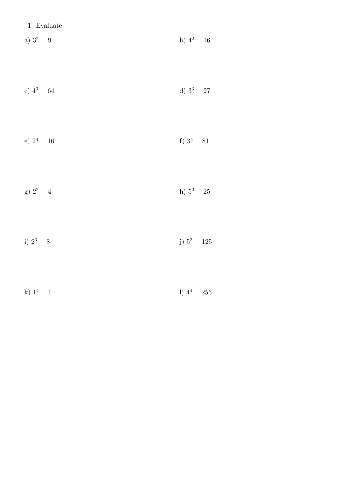## 1. Evaluate

| d) $3^3$ 27<br>c) $4^3$ 64 |  |
|----------------------------|--|
| f) $3^4$ 81<br>e) $2^4$ 16 |  |
| h) $5^2$ 25<br>g) $2^2$ 4  |  |
| i) $2^3$ 8<br>j) $5^3$ 125 |  |

| k) $1^4$ 1 | 1) $4^4$ 256 |  |
|------------|--------------|--|
|------------|--------------|--|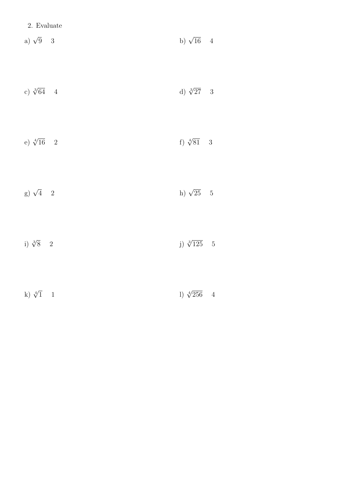|  | 2. Evaluate |
|--|-------------|
|--|-------------|

- a)  $\sqrt{9}$  3  $\overline{9}$  3 b)  $\sqrt{ }$ b)  $\sqrt{16}$  4
- c)  $\sqrt[3]{64}$  4 d)  $\sqrt[3]{}$ d)  $\sqrt[3]{27}$  3
- e)  $\sqrt[4]{16}$  2 f)  $\sqrt[4]{ }$ f)  $\sqrt[4]{81}$  3
- g)  $\sqrt{4}$  2  $\frac{1}{4}$  2 h)  $\sqrt{ }$ h)  $\sqrt{25}$  5
- i)  $\sqrt[3]{8}$  2  $\frac{1}{8}$  2 j)  $\sqrt[3]{}$ j)  $\sqrt[3]{125}$  5
- k)  $\sqrt[4]{1}$  1 l)  $\sqrt[4]{ }$ 1)  $\sqrt[4]{256}$  4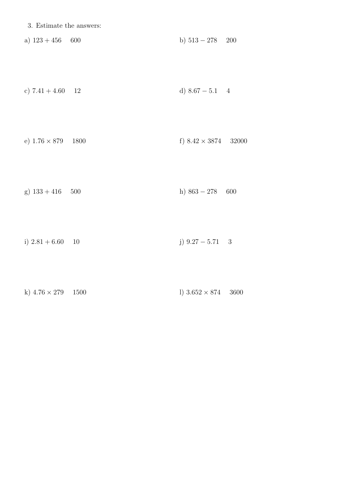3. Estimate the answers:

a)  $123 + 456$  600 b)  $513 - 278$  200

d)  $8.67 - 5.1$  4 c)  $7.41 + 4.60$  12

e)  $1.76 \times 879$  1800 f)  $8.42 \times 3874$  32000

g)  $133 + 416$  500 h)  $863 - 278$  600

j)  $9.27 - 5.71$  3 i)  $2.81 + 6.60$  10

k)  $4.76 \times 279$  1500 1)  $3.652 \times 874$  3600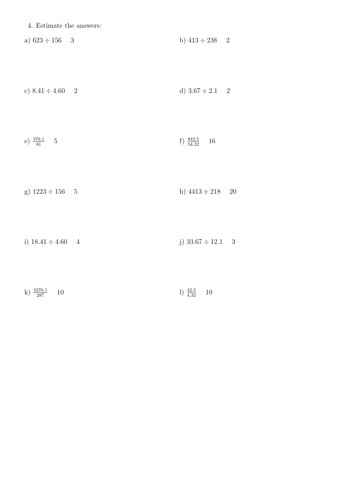| 4. Estimate the answers: |  |
|--------------------------|--|
|                          |  |

| a) $623 \div 156$ 3   | b) $413 \div 238$ 2  |  |
|-----------------------|----------------------|--|
|                       |                      |  |
|                       |                      |  |
| c) $8.41 \div 4.60$ 2 | d) $3.67 \div 2.1$ 2 |  |
|                       |                      |  |
|                       |                      |  |

- e)  $\frac{376.1}{81}$  5 f)  $\frac{842.5}{54.32}$  16
- g)  $1223 \div 156$  5 h)  $4413 \div 218$  20

i)  $18.41 \div 4.60$  4 j)  $33.67 \div 12.1$  3

|  | k) $\frac{3276.1}{287}$ 10 |  |  | 1) $\frac{42.5}{4.32}$ 10 |  |
|--|----------------------------|--|--|---------------------------|--|
|--|----------------------------|--|--|---------------------------|--|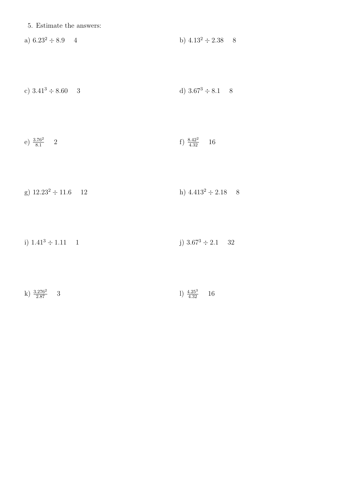5. Estimate the answers:

b)  $4.13^2 \div 2.38$  8 a)  $6.23^2 \div 8.9$  4

c)  $3.41^3 \div 8.60$  3 d)  $3.67^3 \div 8.1$  8

e)  $\frac{3.76^2}{8.1}$  2 f)  $\frac{8.42^2}{4.32}$  16

g)  $12.23^2 \div 11.6$  12 h)  $4.413^2 \div 2.18$  8

i)  $1.41^3 \div 1.11$  1 j)  $3.67^3 \div 2.1$  32

| k) $\frac{3.276^2}{2.87}$ 3 | 1) $\frac{4.25^3}{4.32}$ 16 |
|-----------------------------|-----------------------------|
|-----------------------------|-----------------------------|